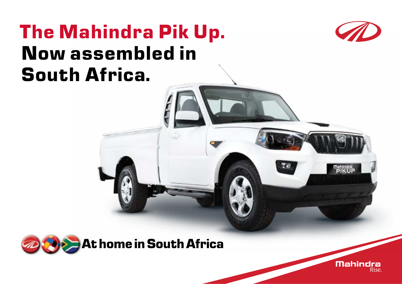## **The Mahindra Pik Up. Now assembled in South Africa.**





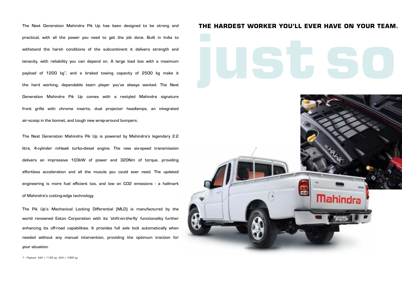practical, with all the power you need to get the job done. Built in India to withstand the harsh conditions of the subcontinent it delivers strength and tenacity, with reliability you can depend on. A large load box with a maximum payload of 1200 kg1, and a braked towing capacity of 2500 kg make it the hard working, dependable team player you've always wanted. The Next Generation Mahindra Pik Up comes with a restyled Mahindra signature front grille with chrome inserts, dual projector headlamps, an integrated air-scoop in the bonnet, and tough new wrap-around bumpers.

The Next Generation Mahindra Pik Up is powered by Mahindra's legendary 2.2 litre, 4-cylinder mHawk turbo-diesel engine. The new six-speed transmission delivers an impressive 103kW of power and 320Nm of torque, providing effortless acceleration and all the muscle you could ever need. The updated engineering is more fuel efficient too, and low on CO2 emissions - a hallmark of Mahindra's cutting-edge technology.

The Pik Up's Mechanical Locking Differential (MLD) is manufactured by the world renowned Eaton Corporation with its 'shift-on-the-fly' functionality further enhancing its off-road capabilities. It provides full axle lock automatically when needed without any manual intervention, providing the optimum traction for your situation.

### The Next Generation Mahindra Pik Up has been designed to be strong and **THE HARDEST WORKER YOU'LL EVER HAVE ON YOUR TEAM.**

# **just so strong.**



1 - Payload: 4X2 = 1195 kg, 4X4 = 1095 kg.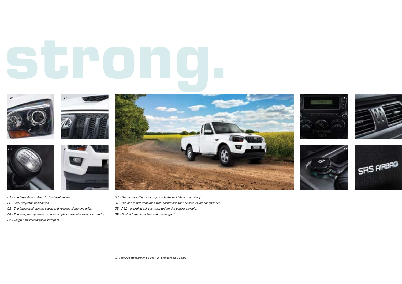# **just so strong.**





- 01 The legendary mHawk turbo-diesel engine.
- 02 Dual projector headlamps.
- 03 The integrated bonnet scoop and restyled signature grille.
- 04 The six-speed gearbox provides ample power whenever you need it.
- 05 Tough new road-armour bumpers.



- 06 The factory-fitted audio system features USB and auxilliary.<sup>2</sup>
- $O7$  The cab is well ventilated with heater and fan<sup>3</sup> or manual air-conditioner.<sup>2</sup>
- 08 A12V charging point is mounted on the centre console.
- 09 Dual airbags for driver and passenger.<sup>2</sup>







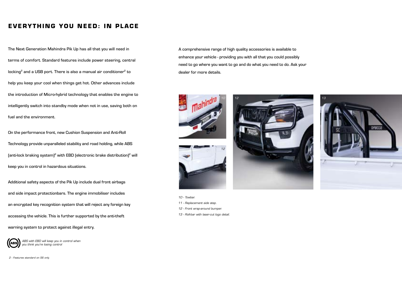## **EVERYTHING YOU NEED: IN PLACE**

The Next Generation Mahindra Pik Up has all that you will need in terms of comfort. Standard features include power steering, central locking<sup>2</sup> and a USB port. There is also a manual air conditioner<sup>2</sup> to help you keep your cool when things get hot. Other advances include the introduction of Micro-hybrid technology that enables the engine to intelligently switch into standby mode when not in use, saving both on fuel and the environment.

On the performance front, new Cushion Suspension and Anti-Roll Technology provide unparalleled stability and road holding, while ABS  $[$ anti-lock braking system $]$ <sup>2</sup> with EBD (electronic brake distribution)<sup>2</sup> will keep you in control in hazardous situations.

Additional safety aspects of the Pik Up include dual front airbags and side impact protectionbars. The engine immobiliser includes an encrypted key recognition system that will reject any foreign key accessing the vehicle. This is further supported by the anti-theft

warning system to protect against illegal entry.

ABS with EBD will keep you in control when you think you're losing control

2 - Features standard on S6 only.

A comprehensive range of high quality accessories is available to enhance your vehicle - providing you with all that you could possibly need to go where you want to go and do what you need to do. Ask your dealer for more details.







- 10 Towbar.
- 11 Replacement side step.
- 12 Front wrap-around bumper.
- 13 Roll-bar with laser-cut logo detail.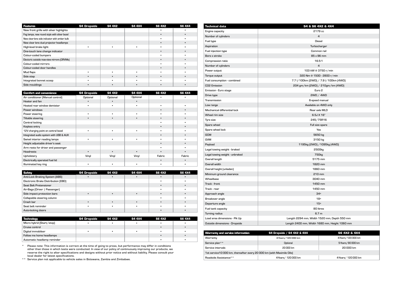| <b>Features</b>                               | <b>S4 Dropside</b> | <b>S4 4X2</b> | S4 4X4 | <b>SG 4X2</b> | S6 4X4 |
|-----------------------------------------------|--------------------|---------------|--------|---------------|--------|
| New front grille with silver highlights       |                    |               |        |               |        |
| Fog lamps, new round style with silver bezel  |                    |               |        |               |        |
| New clear-lens side indicator with amber bulb |                    |               |        |               |        |
| New clear lens dual projector headlamps       |                    |               |        |               |        |
| High-level brake light                        |                    |               |        |               |        |
| One-touch lane change indicator               |                    |               |        | ٠             |        |
| Colour-coded bumpers                          |                    |               |        |               |        |
| Electoric outside reav-view mirrors (ORVMs)   |                    |               |        | ٠             |        |
| Colour-coded mirrors                          |                    |               |        |               |        |
| Colour-coded door handles                     |                    |               |        | ٠             |        |
| Mud flaps                                     |                    |               |        |               |        |
| Side step                                     |                    |               |        | ٠             |        |
| Integrated bonnet scoop                       |                    |               |        |               |        |
| Side mouldings                                |                    |               |        |               |        |

| <b>Comfort and convenience</b>         | <b>S4 Dropside</b> | S4 4X2    | S4 4X4   | <b>SG 4X2</b> | <b>SG 4X4</b> |
|----------------------------------------|--------------------|-----------|----------|---------------|---------------|
| Air conditioner [Manual control]       | Optional           | Optional  | Optional |               |               |
| Heater and fan                         |                    |           |          |               |               |
| Heated rear window demister            | ٠                  | ٠         |          |               | ٠             |
| Power windows                          |                    |           |          |               |               |
| Power steering                         | ٠                  | ٠         |          |               |               |
| Tiltable steering                      | ٠                  | $\bullet$ |          |               |               |
| Central locking                        |                    |           |          |               |               |
| Keyless entry                          |                    |           |          |               |               |
| 12V charging point on central bezel    |                    | ٠         |          |               |               |
| Integrated audio system with USB & AUX |                    |           |          |               | ٠             |
| Swivel interior reading lamps          |                    | ٠         |          |               |               |
| Height adjustable driver's seat        |                    |           |          | ٠             | ٠             |
| Arm rests for driver and passenger     |                    |           |          |               |               |
| <b>Headrests</b>                       | ٠                  | $\bullet$ | ٠        | ٠             | ٠             |
| Upholstery                             | Vinyl              | Vinyl     | Vinyl    | Fabric        | Fabric        |
| Electrically operated fuel lid         |                    |           |          | ٠             | ٠             |
| Illuminated key ring                   | ٠                  | ٠         |          |               |               |

| Safety                              | <b>S4 Dropside</b> | S4 4X2 | S4 4X4 | SG 4X2 | <b>S6 4X4</b> |
|-------------------------------------|--------------------|--------|--------|--------|---------------|
| Anti-Lock Braking System (ABS)      |                    |        |        |        |               |
| Electronic Brake Distribution (EBD) |                    |        |        |        |               |
| Seat Belt Pretensioner              |                    |        |        |        |               |
| Air-Bags (Driver   Passenger)       |                    |        |        |        |               |
| Side impact protection bars         |                    |        |        |        |               |
| Collapsible steering column         |                    |        |        |        |               |
| Crash bar                           |                    |        |        |        |               |
| Seat belt reminder                  |                    |        |        |        |               |
| Auto-locking doors                  |                    |        |        |        |               |

| Technology                  | <b>S4 Dropside</b> | S4 4X2 | S4 4X4 | S6 4X2 | S6 4X4 |
|-----------------------------|--------------------|--------|--------|--------|--------|
| Micro hybrid (Start/stop)   |                    |        |        |        |        |
| Cruise control              |                    |        |        |        |        |
| Digital immobilser          |                    |        |        |        |        |
| Follow me home headlamps    |                    |        |        |        |        |
| Automatic headlamp reminder |                    |        |        |        |        |

\* Please note: This information is correct at the time of going to press, but performance may differ in conditions other than those in which tests were conducted. In view of our policy of continuously improving our products, we<br>reserve the right to alter specifications and designs without prior notice and without liability. Please cons local dealer for latest specifications.

\*\* Service plan not applicable to vehicle sales in Botswana, Zambia and Zimbabwe.

| <b>Technical data</b>          | S4 & S6 4X2 & 4X4                             |  |  |  |
|--------------------------------|-----------------------------------------------|--|--|--|
| Engine capacity                | 2179 cc                                       |  |  |  |
| Number of cylinders            | $\overline{a}$                                |  |  |  |
| Fuel type                      | <b>Diesel</b>                                 |  |  |  |
| Aspiration                     | Turbocharger                                  |  |  |  |
| Fuel injection type            | Common rail                                   |  |  |  |
| Bore x stroke                  | 85 x 96 mm                                    |  |  |  |
| Compression ratio              | 16.5:1                                        |  |  |  |
| Number of cylinders            | $\overline{4}$                                |  |  |  |
| Power output                   | 103 kW @ 3750 r/min                           |  |  |  |
| Torque output                  | 320 Nm @ 1500 - 2800 r/min                    |  |  |  |
| Fuel consumption - combined    | 7.7 l/100km (2WD) / 7.9 l/100km (4WD)         |  |  |  |
| CO2 Emission                   | 204 gm/km (2WD) / 210gm/km (4WD)              |  |  |  |
| Emission - Euro stage          | Euro <sub>2</sub>                             |  |  |  |
| Drive type                     | 2WD / 4WD                                     |  |  |  |
| Transmission                   | 6-speed manual                                |  |  |  |
| Low range                      | Available on 4WD only                         |  |  |  |
| Mechanical differential lock   | Rear axle MLD                                 |  |  |  |
| Wheel rim size                 | 6.5J X 16"                                    |  |  |  |
| Tyre size                      | 245/75R16                                     |  |  |  |
| Spare wheel                    | Full size spare                               |  |  |  |
| Spare wheel lock               | Yes                                           |  |  |  |
| <b>GCM</b>                     | 5650 kg                                       |  |  |  |
| <b>GVM</b>                     | 3150 kg                                       |  |  |  |
| Payload                        | 1195kg (2WD) / 1095kg (4WD)                   |  |  |  |
| Legal towing weight - braked   | 2500 <sub>kg</sub>                            |  |  |  |
| Legal towing weight - unbraked | 750 <sub>kg</sub>                             |  |  |  |
| Overall length                 | 5175 mm                                       |  |  |  |
| Overall width                  | 1820 mm                                       |  |  |  |
| Overall height (unladen)       | 1860 mm                                       |  |  |  |
| Minimum ground clearance       | 210 mm                                        |  |  |  |
| Wheelbase                      | 3040 mm                                       |  |  |  |
| Track - front                  | 1450 mm                                       |  |  |  |
| Track - rear                   | 1450 mm                                       |  |  |  |
| Approach angle                 | 34 <sup>°</sup>                               |  |  |  |
| Breakover angle                | 18 <sup>°</sup>                               |  |  |  |
| Departure angle                | 15 <sup>°</sup>                               |  |  |  |
| Fuel tank capacity             | 80 litres                                     |  |  |  |
| Turning radius                 | 6.7 <sub>m</sub>                              |  |  |  |
| Load area dimensions - Pik Up  | Length 2294 mm, Width 1520 mm, Depth 550 mm   |  |  |  |
| Outside dimensions - Dropside  | Length 2400 mm, Width 1680 mm, Height 1060 mm |  |  |  |

| Warranty and service information                                       | <b>S4 Dropside / S4 4X2 &amp; 4X4</b> | S6 4X2 & 4X4        |  |  |  |
|------------------------------------------------------------------------|---------------------------------------|---------------------|--|--|--|
| Warranty                                                               | 4-Years/120 000 km                    | 4-Years/120 000 km  |  |  |  |
| Service plan**                                                         | Optional                              | 5-Years/90 000 km   |  |  |  |
| Service intervals                                                      | 20 000 km                             | 20 000 km           |  |  |  |
| 1st service 10 000 km, thereafter every 20 000 km (with Maximile Oils) |                                       |                     |  |  |  |
| Roadside Assistance**                                                  | 4-Years/ 120 000 km                   | 4-Years/ 120 000 km |  |  |  |